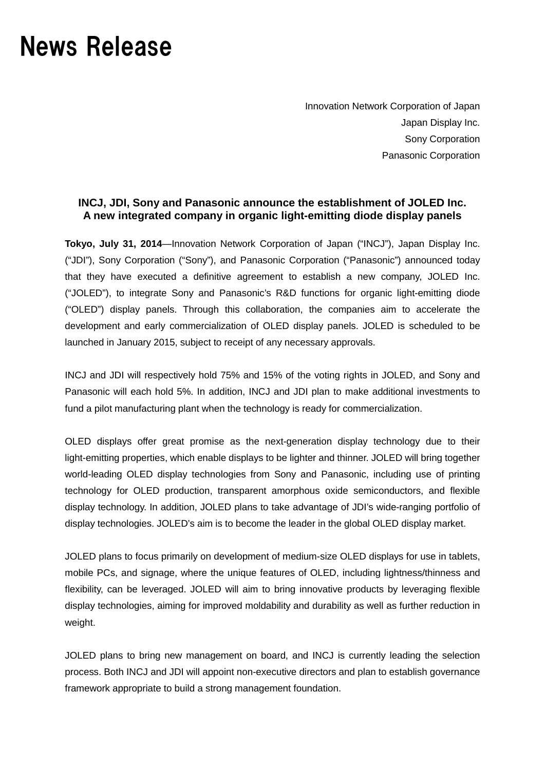# News Release

Innovation Network Corporation of Japan Japan Display Inc. Sony Corporation Panasonic Corporation

## **INCJ, JDI, Sony and Panasonic announce the establishment of JOLED Inc. A new integrated company in organic light-emitting diode display panels**

**Tokyo, July 31, 2014**—Innovation Network Corporation of Japan ("INCJ"), Japan Display Inc. ("JDI"), Sony Corporation ("Sony"), and Panasonic Corporation ("Panasonic") announced today that they have executed a definitive agreement to establish a new company, JOLED Inc. ("JOLED"), to integrate Sony and Panasonic's R&D functions for organic light-emitting diode ("OLED") display panels. Through this collaboration, the companies aim to accelerate the development and early commercialization of OLED display panels. JOLED is scheduled to be launched in January 2015, subject to receipt of any necessary approvals.

INCJ and JDI will respectively hold 75% and 15% of the voting rights in JOLED, and Sony and Panasonic will each hold 5%. In addition, INCJ and JDI plan to make additional investments to fund a pilot manufacturing plant when the technology is ready for commercialization.

OLED displays offer great promise as the next-generation display technology due to their light-emitting properties, which enable displays to be lighter and thinner. JOLED will bring together world-leading OLED display technologies from Sony and Panasonic, including use of printing technology for OLED production, transparent amorphous oxide semiconductors, and flexible display technology. In addition, JOLED plans to take advantage of JDI's wide-ranging portfolio of display technologies. JOLED's aim is to become the leader in the global OLED display market.

JOLED plans to focus primarily on development of medium-size OLED displays for use in tablets, mobile PCs, and signage, where the unique features of OLED, including lightness/thinness and flexibility, can be leveraged. JOLED will aim to bring innovative products by leveraging flexible display technologies, aiming for improved moldability and durability as well as further reduction in weight.

JOLED plans to bring new management on board, and INCJ is currently leading the selection process. Both INCJ and JDI will appoint non-executive directors and plan to establish governance framework appropriate to build a strong management foundation.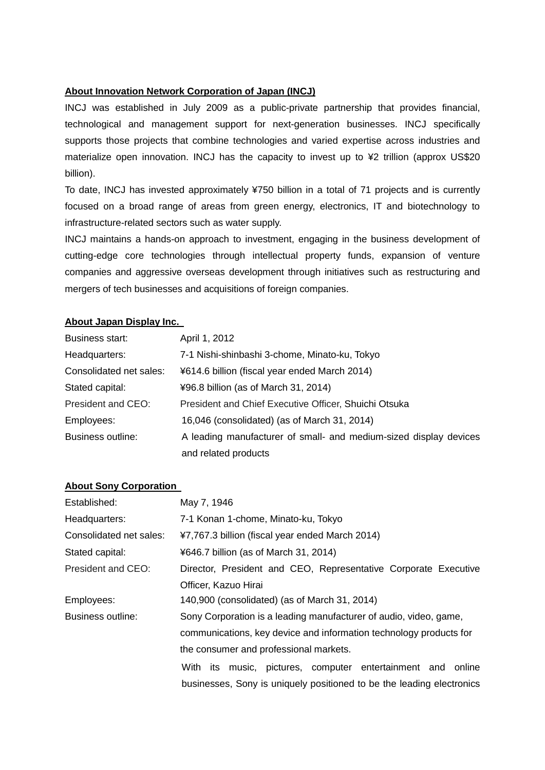#### **About Innovation Network Corporation of Japan (INCJ)**

INCJ was established in July 2009 as a public-private partnership that provides financial, technological and management support for next-generation businesses. INCJ specifically supports those projects that combine technologies and varied expertise across industries and materialize open innovation. INCJ has the capacity to invest up to ¥2 trillion (approx US\$20 billion).

To date, INCJ has invested approximately ¥750 billion in a total of 71 projects and is currently focused on a broad range of areas from green energy, electronics, IT and biotechnology to infrastructure-related sectors such as water supply.

INCJ maintains a hands-on approach to investment, engaging in the business development of cutting-edge core technologies through intellectual property funds, expansion of venture companies and aggressive overseas development through initiatives such as restructuring and mergers of tech businesses and acquisitions of foreign companies.

#### **About Japan Display Inc.**

| Business start:         | April 1, 2012                                                     |
|-------------------------|-------------------------------------------------------------------|
| Headquarters:           | 7-1 Nishi-shinbashi 3-chome, Minato-ku, Tokyo                     |
| Consolidated net sales: | ¥614.6 billion (fiscal year ended March 2014)                     |
| Stated capital:         | ¥96.8 billion (as of March 31, 2014)                              |
| President and CEO:      | President and Chief Executive Officer, Shuichi Otsuka             |
| Employees:              | 16,046 (consolidated) (as of March 31, 2014)                      |
| Business outline:       | A leading manufacturer of small- and medium-sized display devices |
|                         | and related products                                              |

#### **About Sony Corporation**

| Established:            | May 7, 1946                                                           |
|-------------------------|-----------------------------------------------------------------------|
| Headquarters:           | 7-1 Konan 1-chome, Minato-ku, Tokyo                                   |
| Consolidated net sales: | ¥7,767.3 billion (fiscal year ended March 2014)                       |
| Stated capital:         | ¥646.7 billion (as of March 31, 2014)                                 |
| President and CEO:      | Director, President and CEO, Representative Corporate Executive       |
|                         | Officer, Kazuo Hirai                                                  |
| Employees:              | 140,900 (consolidated) (as of March 31, 2014)                         |
| Business outline:       | Sony Corporation is a leading manufacturer of audio, video, game,     |
|                         | communications, key device and information technology products for    |
|                         | the consumer and professional markets.                                |
|                         | With its music, pictures, computer entertainment and online           |
|                         | businesses, Sony is uniquely positioned to be the leading electronics |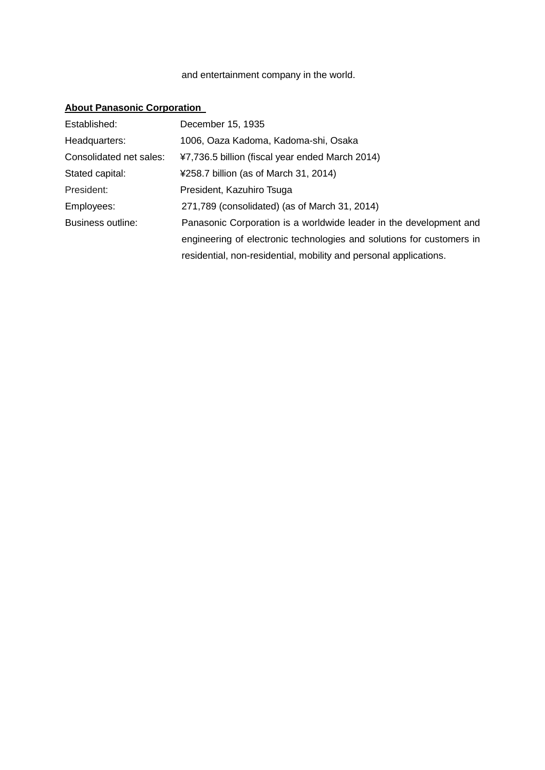### and entertainment company in the world.

# **About Panasonic Corporation**

| Established:            | December 15, 1935                                                     |
|-------------------------|-----------------------------------------------------------------------|
| Headquarters:           | 1006, Oaza Kadoma, Kadoma-shi, Osaka                                  |
| Consolidated net sales: | ¥7,736.5 billion (fiscal year ended March 2014)                       |
| Stated capital:         | ¥258.7 billion (as of March 31, 2014)                                 |
| President:              | President, Kazuhiro Tsuga                                             |
| Employees:              | 271,789 (consolidated) (as of March 31, 2014)                         |
| Business outline:       | Panasonic Corporation is a worldwide leader in the development and    |
|                         | engineering of electronic technologies and solutions for customers in |
|                         | residential, non-residential, mobility and personal applications.     |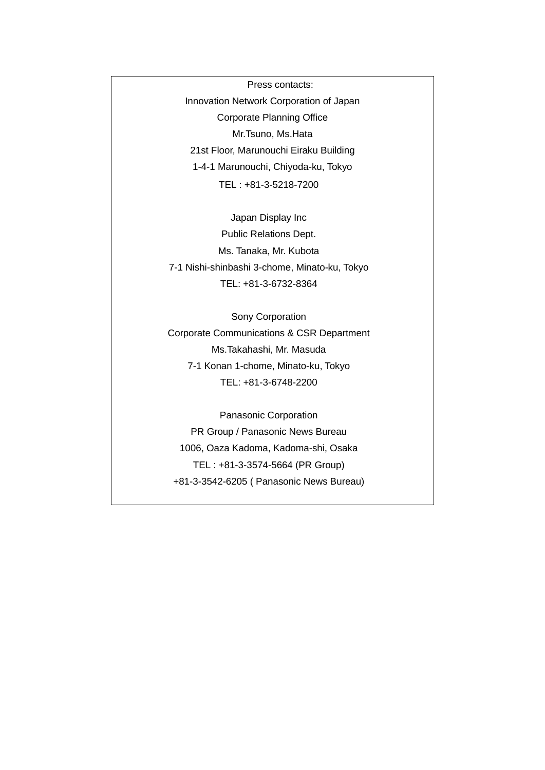Press contacts: Innovation Network Corporation of Japan Corporate Planning Office Mr.Tsuno, Ms.Hata 21st Floor, Marunouchi Eiraku Building 1-4-1 Marunouchi, Chiyoda-ku, Tokyo TEL : +81-3-5218-7200

Japan Display Inc Public Relations Dept. Ms. Tanaka, Mr. Kubota 7-1 Nishi-shinbashi 3-chome, Minato-ku, Tokyo TEL: +81-3-6732-8364

Sony Corporation Corporate Communications & CSR Department Ms.Takahashi, Mr. Masuda 7-1 Konan 1-chome, Minato-ku, Tokyo TEL: +81-3-6748-2200

Panasonic Corporation PR Group / Panasonic News Bureau 1006, Oaza Kadoma, Kadoma-shi, Osaka TEL : +81-3-3574-5664 (PR Group) +81-3-3542-6205 ( Panasonic News Bureau)